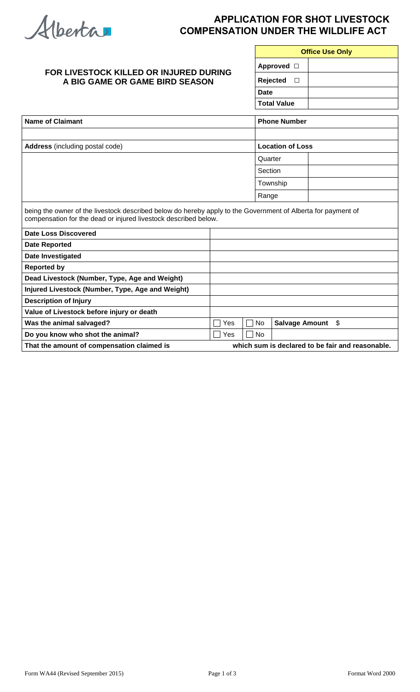Alberta

## **APPLICATION FOR SHOT LIVESTOCK COMPENSATION UNDER THE WILDLIFE ACT**

| FOR LIVESTOCK KILLED OR INJURED DURING<br>A BIG GAME OR GAME BIRD SEASON                                                                                                        |     |           | <b>Office Use Only</b>  |    |  |  |
|---------------------------------------------------------------------------------------------------------------------------------------------------------------------------------|-----|-----------|-------------------------|----|--|--|
|                                                                                                                                                                                 |     |           | Approved $\Box$         |    |  |  |
|                                                                                                                                                                                 |     |           | Rejected<br>$\Box$      |    |  |  |
|                                                                                                                                                                                 |     |           | <b>Date</b>             |    |  |  |
|                                                                                                                                                                                 |     |           | <b>Total Value</b>      |    |  |  |
| <b>Name of Claimant</b>                                                                                                                                                         |     |           | <b>Phone Number</b>     |    |  |  |
|                                                                                                                                                                                 |     |           |                         |    |  |  |
| <b>Address</b> (including postal code)                                                                                                                                          |     |           | <b>Location of Loss</b> |    |  |  |
|                                                                                                                                                                                 |     |           | Quarter                 |    |  |  |
|                                                                                                                                                                                 |     |           | Section                 |    |  |  |
|                                                                                                                                                                                 |     |           | Township                |    |  |  |
|                                                                                                                                                                                 |     |           | Range                   |    |  |  |
| being the owner of the livestock described below do hereby apply to the Government of Alberta for payment of<br>compensation for the dead or injured livestock described below. |     |           |                         |    |  |  |
| <b>Date Loss Discovered</b>                                                                                                                                                     |     |           |                         |    |  |  |
| <b>Date Reported</b>                                                                                                                                                            |     |           |                         |    |  |  |
| Date Investigated                                                                                                                                                               |     |           |                         |    |  |  |
| <b>Reported by</b>                                                                                                                                                              |     |           |                         |    |  |  |
| Dead Livestock (Number, Type, Age and Weight)                                                                                                                                   |     |           |                         |    |  |  |
| Injured Livestock (Number, Type, Age and Weight)                                                                                                                                |     |           |                         |    |  |  |
| <b>Description of Injury</b>                                                                                                                                                    |     |           |                         |    |  |  |
| Value of Livestock before injury or death                                                                                                                                       |     |           |                         |    |  |  |
| Was the animal salvaged?                                                                                                                                                        | Yes | <b>No</b> | <b>Salvage Amount</b>   | \$ |  |  |
| Do you know who shot the animal?                                                                                                                                                | Yes | <b>No</b> |                         |    |  |  |
| That the amount of compensation claimed is<br>which sum is declared to be fair and reasonable.                                                                                  |     |           |                         |    |  |  |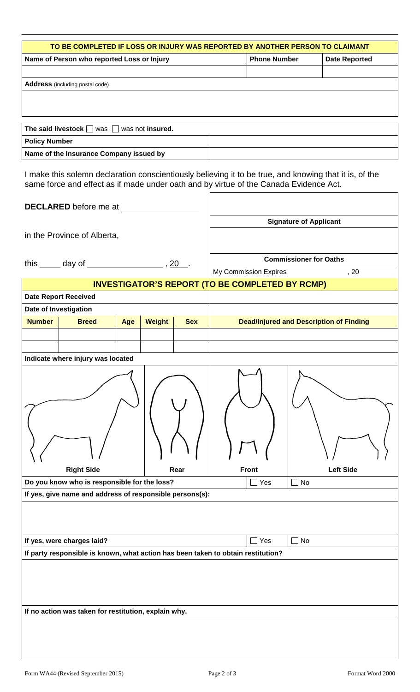| TO BE COMPLETED IF LOSS OR INJURY WAS REPORTED BY ANOTHER PERSON TO CLAIMANT |                     |                      |  |  |  |  |
|------------------------------------------------------------------------------|---------------------|----------------------|--|--|--|--|
| Name of Person who reported Loss or Injury                                   | <b>Phone Number</b> | <b>Date Reported</b> |  |  |  |  |
|                                                                              |                     |                      |  |  |  |  |
| <b>Address</b> (including postal code)                                       |                     |                      |  |  |  |  |
|                                                                              |                     |                      |  |  |  |  |
|                                                                              |                     |                      |  |  |  |  |
|                                                                              |                     |                      |  |  |  |  |
| The said livestock $\Box$ was $\Box$ was not insured.                        |                     |                      |  |  |  |  |
| <b>Policy Number</b>                                                         |                     |                      |  |  |  |  |
| Name of the Insurance Company issued by                                      |                     |                      |  |  |  |  |

I make this solemn declaration conscientiously believing it to be true, and knowing that it is, of the same force and effect as if made under oath and by virtue of the Canada Evidence Act.

| DECLARED before me at ________                                                   |                                                                  |               |            |                                                             |                               |  |
|----------------------------------------------------------------------------------|------------------------------------------------------------------|---------------|------------|-------------------------------------------------------------|-------------------------------|--|
|                                                                                  |                                                                  |               |            |                                                             | <b>Signature of Applicant</b> |  |
| in the Province of Alberta,                                                      |                                                                  |               |            |                                                             |                               |  |
|                                                                                  |                                                                  |               |            |                                                             | <b>Commissioner for Oaths</b> |  |
| this $\_\_$ day of $\_\_$ , 20 .                                                 |                                                                  |               |            | My Commission Expires<br>, 20                               |                               |  |
| <b>INVESTIGATOR'S REPORT (TO BE COMPLETED BY RCMP)</b>                           |                                                                  |               |            |                                                             |                               |  |
| <b>Date Report Received</b>                                                      |                                                                  |               |            |                                                             |                               |  |
| Date of Investigation                                                            |                                                                  |               |            |                                                             |                               |  |
| <b>Number</b><br><b>Breed</b>                                                    | Age                                                              | <b>Weight</b> | <b>Sex</b> | <b>Dead/Injured and Description of Finding</b>              |                               |  |
|                                                                                  |                                                                  |               |            |                                                             |                               |  |
|                                                                                  |                                                                  |               |            |                                                             |                               |  |
| Indicate where injury was located                                                |                                                                  |               |            |                                                             |                               |  |
| <b>Right Side</b><br>Do you know who is responsible for the loss?                | Rear<br>If yes, give name and address of responsible persons(s): |               |            | <b>Left Side</b><br><b>Front</b><br>$\Box$ Yes<br>$\Box$ No |                               |  |
| If yes, were charges laid?                                                       |                                                                  |               |            | $\Box$ Yes                                                  | $\Box$ No                     |  |
| If party responsible is known, what action has been taken to obtain restitution? |                                                                  |               |            |                                                             |                               |  |
| If no action was taken for restitution, explain why.                             |                                                                  |               |            |                                                             |                               |  |